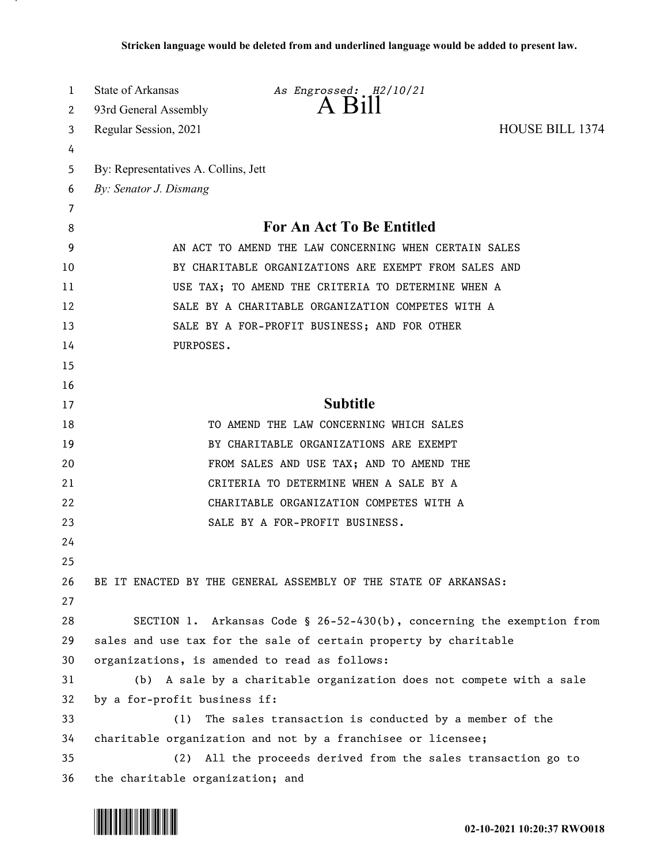| 1  | <b>State of Arkansas</b>                              | As Engrossed: H2/10/21                                                 |                        |  |  |  |  |  |  |
|----|-------------------------------------------------------|------------------------------------------------------------------------|------------------------|--|--|--|--|--|--|
| 2  | 93rd General Assembly                                 | $A$ $B1II$                                                             |                        |  |  |  |  |  |  |
| 3  | Regular Session, 2021                                 |                                                                        | <b>HOUSE BILL 1374</b> |  |  |  |  |  |  |
| 4  |                                                       |                                                                        |                        |  |  |  |  |  |  |
| 5  | By: Representatives A. Collins, Jett                  |                                                                        |                        |  |  |  |  |  |  |
| 6  | By: Senator J. Dismang                                |                                                                        |                        |  |  |  |  |  |  |
| 7  |                                                       |                                                                        |                        |  |  |  |  |  |  |
| 8  | For An Act To Be Entitled                             |                                                                        |                        |  |  |  |  |  |  |
| 9  | AN ACT TO AMEND THE LAW CONCERNING WHEN CERTAIN SALES |                                                                        |                        |  |  |  |  |  |  |
| 10 | BY CHARITABLE ORGANIZATIONS ARE EXEMPT FROM SALES AND |                                                                        |                        |  |  |  |  |  |  |
| 11 | USE TAX; TO AMEND THE CRITERIA TO DETERMINE WHEN A    |                                                                        |                        |  |  |  |  |  |  |
| 12 | SALE BY A CHARITABLE ORGANIZATION COMPETES WITH A     |                                                                        |                        |  |  |  |  |  |  |
| 13 | SALE BY A FOR-PROFIT BUSINESS; AND FOR OTHER          |                                                                        |                        |  |  |  |  |  |  |
| 14 | PURPOSES.                                             |                                                                        |                        |  |  |  |  |  |  |
| 15 |                                                       |                                                                        |                        |  |  |  |  |  |  |
| 16 |                                                       |                                                                        |                        |  |  |  |  |  |  |
| 17 |                                                       | <b>Subtitle</b>                                                        |                        |  |  |  |  |  |  |
| 18 |                                                       | TO AMEND THE LAW CONCERNING WHICH SALES                                |                        |  |  |  |  |  |  |
| 19 |                                                       | BY CHARITABLE ORGANIZATIONS ARE EXEMPT                                 |                        |  |  |  |  |  |  |
| 20 |                                                       | FROM SALES AND USE TAX; AND TO AMEND THE                               |                        |  |  |  |  |  |  |
| 21 |                                                       | CRITERIA TO DETERMINE WHEN A SALE BY A                                 |                        |  |  |  |  |  |  |
| 22 |                                                       | CHARITABLE ORGANIZATION COMPETES WITH A                                |                        |  |  |  |  |  |  |
| 23 |                                                       | SALE BY A FOR-PROFIT BUSINESS.                                         |                        |  |  |  |  |  |  |
| 24 |                                                       |                                                                        |                        |  |  |  |  |  |  |
| 25 |                                                       |                                                                        |                        |  |  |  |  |  |  |
| 26 |                                                       | BE IT ENACTED BY THE GENERAL ASSEMBLY OF THE STATE OF ARKANSAS:        |                        |  |  |  |  |  |  |
| 27 |                                                       |                                                                        |                        |  |  |  |  |  |  |
| 28 |                                                       | SECTION 1. Arkansas Code § 26-52-430(b), concerning the exemption from |                        |  |  |  |  |  |  |
| 29 |                                                       | sales and use tax for the sale of certain property by charitable       |                        |  |  |  |  |  |  |
| 30 |                                                       | organizations, is amended to read as follows:                          |                        |  |  |  |  |  |  |
| 31 |                                                       | (b) A sale by a charitable organization does not compete with a sale   |                        |  |  |  |  |  |  |
| 32 | by a for-profit business if:                          |                                                                        |                        |  |  |  |  |  |  |
| 33 | (1)                                                   | The sales transaction is conducted by a member of the                  |                        |  |  |  |  |  |  |
| 34 |                                                       | charitable organization and not by a franchisee or licensee;           |                        |  |  |  |  |  |  |
| 35 | (2)                                                   | All the proceeds derived from the sales transaction go to              |                        |  |  |  |  |  |  |
| 36 | the charitable organization; and                      |                                                                        |                        |  |  |  |  |  |  |